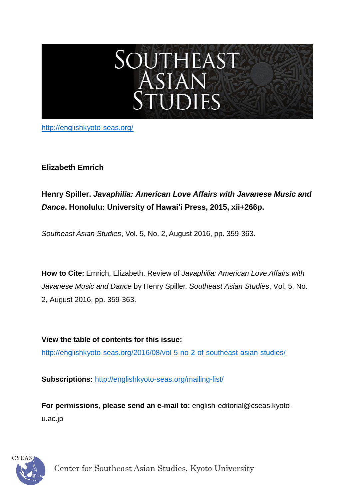# SOUTHEAST<br>ASIAN<br>STUDIES

<http://englishkyoto-seas.org/>

# **Elizabeth Emrich**

# **Henry Spiller.** *Javaphilia: American Love Affairs with Javanese Music and Dance***. Honolulu: University of Hawai'i Press, 2015, xii+266p.**

*Southeast Asian Studies*, Vol. 5, No. 2, August 2016, pp. 359-363.

**How to Cite:** Emrich, Elizabeth. Review of *Javaphilia: American Love Affairs with Javanese Music and Dance* by Henry Spiller. *Southeast Asian Studies*, Vol. 5, No. 2, August 2016, pp. 359-363.

**View the table of contents for this issue:** [http://englishkyoto-seas.org/2016/08/vol-5-no-2-of-southeast-asian-studies/](http://englishkyoto-seas.org/2016/08/vol-5-no-2-of-southeast-asian-studies)

**Subscriptions:** <http://englishkyoto-seas.org/mailing-list/>

**For permissions, please send an e-mail to:** english-editorial@cseas.kyotou.ac.jp

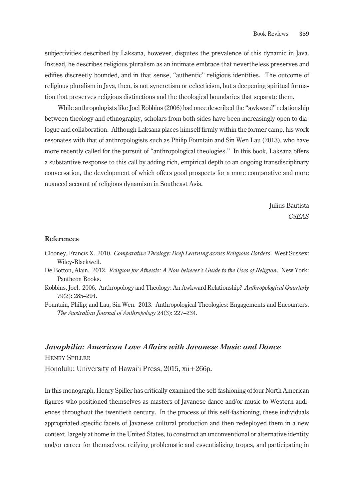subjectivities described by Laksana, however, disputes the prevalence of this dynamic in Java. Instead, he describes religious pluralism as an intimate embrace that nevertheless preserves and edifies discreetly bounded, and in that sense, "authentic" religious identities. The outcome of religious pluralism in Java, then, is not syncretism or eclecticism, but a deepening spiritual formation that preserves religious distinctions and the theological boundaries that separate them.

While anthropologists like Joel Robbins (2006) had once described the "awkward" relationship between theology and ethnography, scholars from both sides have been increasingly open to dialogue and collaboration. Although Laksana places himself firmly within the former camp, his work resonates with that of anthropologists such as Philip Fountain and Sin Wen Lau (2013), who have more recently called for the pursuit of "anthropological theologies." In this book, Laksana offers a substantive response to this call by adding rich, empirical depth to an ongoing transdisciplinary conversation, the development of which offers good prospects for a more comparative and more nuanced account of religious dynamism in Southeast Asia.

> Julius Bautista *CSEAS*

### **References**

- Clooney, Francis X. 2010. *Comparative Theology: Deep Learning across Religious Borders*. West Sussex: Wiley-Blackwell.
- De Botton, Alain. 2012. *Religion for Atheists: A Non-believer's Guide to the Uses of Religion*. New York: Pantheon Books.
- Robbins, Joel. 2006. Anthropology and Theology: An Awkward Relationship? *Anthropological Quarterly* 79(2): 285–294.
- Fountain, Philip; and Lau, Sin Wen. 2013. Anthropological Theologies: Engagements and Encounters. *The Australian Journal of Anthropology* 24(3): 227–234.

## *Javaphilia: American Love Affairs with Javanese Music and Dance*

Henry Spiller

Honolulu: University of Hawai'i Press, 2015, xii+266p.

In this monograph, Henry Spiller has critically examined the self-fashioning of four North American figures who positioned themselves as masters of Javanese dance and/or music to Western audiences throughout the twentieth century. In the process of this self-fashioning, these individuals appropriated specific facets of Javanese cultural production and then redeployed them in a new context, largely at home in the United States, to construct an unconventional or alternative identity and/or career for themselves, reifying problematic and essentializing tropes, and participating in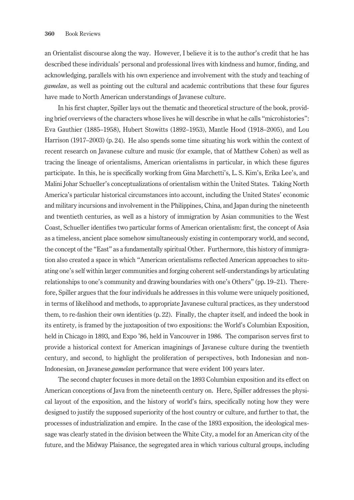an Orientalist discourse along the way. However, I believe it is to the author's credit that he has described these individuals' personal and professional lives with kindness and humor, finding, and acknowledging, parallels with his own experience and involvement with the study and teaching of *gamelan*, as well as pointing out the cultural and academic contributions that these four figures have made to North American understandings of Javanese culture.

In his first chapter, Spiller lays out the thematic and theoretical structure of the book, providing brief overviews of the characters whose lives he will describe in what he calls "microhistories": Eva Gauthier (1885–1958), Hubert Stowitts (1892–1953), Mantle Hood (1918–2005), and Lou Harrison (1917–2003) (p. 24). He also spends some time situating his work within the context of recent research on Javanese culture and music (for example, that of Matthew Cohen) as well as tracing the lineage of orientalisms, American orientalisms in particular, in which these figures participate. In this, he is specifically working from Gina Marchetti's, L. S. Kim's, Erika Lee's, and Malini Johar Schueller's conceptualizations of orientalism within the United States. Taking North America's particular historical circumstances into account, including the United States' economic and military incursions and involvement in the Philippines, China, and Japan during the nineteenth and twentieth centuries, as well as a history of immigration by Asian communities to the West Coast, Schueller identifies two particular forms of American orientalism: first, the concept of Asia as a timeless, ancient place somehow simultaneously existing in contemporary world, and second, the concept of the "East" as a fundamentally spiritual Other. Furthermore, this history of immigration also created a space in which "American orientalisms reflected American approaches to situating one's self within larger communities and forging coherent self-understandings by articulating relationships to one's community and drawing boundaries with one's Others" (pp. 19–21). Therefore, Spiller argues that the four individuals he addresses in this volume were uniquely positioned, in terms of likelihood and methods, to appropriate Javanese cultural practices, as they understood them, to re-fashion their own identities (p. 22). Finally, the chapter itself, and indeed the book in its entirety, is framed by the juxtaposition of two expositions: the World's Columbian Exposition, held in Chicago in 1893, and Expo '86, held in Vancouver in 1986. The comparison serves first to provide a historical context for American imaginings of Javanese culture during the twentieth century, and second, to highlight the proliferation of perspectives, both Indonesian and non-Indonesian, on Javanese *gamelan* performance that were evident 100 years later.

The second chapter focuses in more detail on the 1893 Columbian exposition and its effect on American conceptions of Java from the nineteenth century on. Here, Spiller addresses the physical layout of the exposition, and the history of world's fairs, specifically noting how they were designed to justify the supposed superiority of the host country or culture, and further to that, the processes of industrialization and empire. In the case of the 1893 exposition, the ideological message was clearly stated in the division between the White City, a model for an American city of the future, and the Midway Plaisance, the segregated area in which various cultural groups, including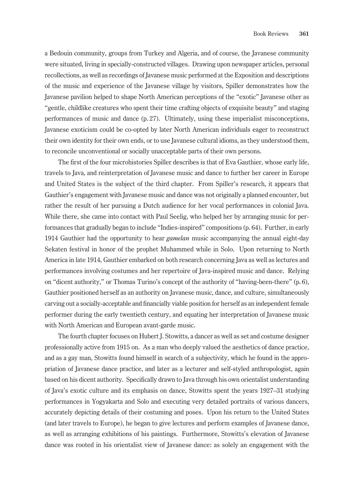a Bedouin community, groups from Turkey and Algeria, and of course, the Javanese community were situated, living in specially-constructed villages. Drawing upon newspaper articles, personal recollections, as well as recordings of Javanese music performed at the Exposition and descriptions of the music and experience of the Javanese village by visitors, Spiller demonstrates how the Javanese pavilion helped to shape North American perceptions of the "exotic" Javanese other as "gentle, childlike creatures who spent their time crafting objects of exquisite beauty" and staging performances of music and dance (p. 27). Ultimately, using these imperialist misconceptions, Javanese exoticism could be co-opted by later North American individuals eager to reconstruct their own identity for their own ends, or to use Javanese cultural idioms, as they understood them, to reconcile unconventional or socially unacceptable parts of their own persons.

The first of the four microhistories Spiller describes is that of Eva Gauthier, whose early life, travels to Java, and reinterpretation of Javanese music and dance to further her career in Europe and United States is the subject of the third chapter. From Spiller's research, it appears that Gauthier's engagement with Javanese music and dance was not originally a planned encounter, but rather the result of her pursuing a Dutch audience for her vocal performances in colonial Java. While there, she came into contact with Paul Seelig, who helped her by arranging music for performances that gradually began to include "Indies-inspired" compositions (p. 64). Further, in early 1914 Gauthier had the opportunity to hear *gamelan* music accompanying the annual eight-day Sekaten festival in honor of the prophet Muhammed while in Solo. Upon returning to North America in late 1914, Gauthier embarked on both research concerning Java as well as lectures and performances involving costumes and her repertoire of Java-inspired music and dance. Relying on "dicent authority," or Thomas Turino's concept of the authority of "having-been-there" (p. 6), Gauthier positioned herself as an authority on Javanese music, dance, and culture, simultaneously carving out a socially-acceptable and financially viable position for herself as an independent female performer during the early twentieth century, and equating her interpretation of Javanese music with North American and European avant-garde music.

The fourth chapter focuses on Hubert J. Stowitts, a dancer as well as set and costume designer professionally active from 1915 on. As a man who deeply valued the aesthetics of dance practice, and as a gay man, Stowitts found himself in search of a subjectivity, which he found in the appropriation of Javanese dance practice, and later as a lecturer and self-styled anthropologist, again based on his dicent authority. Specifically drawn to Java through his own orientalist understanding of Java's exotic culture and its emphasis on dance, Stowitts spent the years 1927–31 studying performances in Yogyakarta and Solo and executing very detailed portraits of various dancers, accurately depicting details of their costuming and poses. Upon his return to the United States (and later travels to Europe), he began to give lectures and perform examples of Javanese dance, as well as arranging exhibitions of his paintings. Furthermore, Stowitts's elevation of Javanese dance was rooted in his orientalist view of Javanese dance: as solely an engagement with the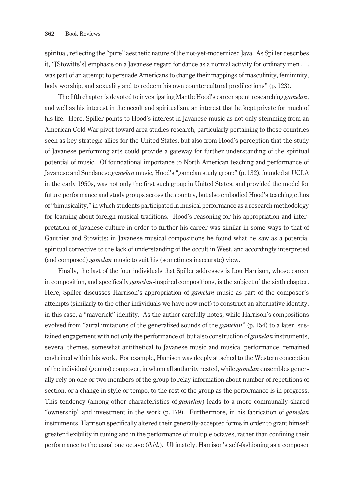spiritual, reflecting the "pure" aesthetic nature of the not-yet-modernized Java. As Spiller describes it, "[Stowitts's] emphasis on a Javanese regard for dance as a normal activity for ordinary men . . . was part of an attempt to persuade Americans to change their mappings of masculinity, femininity, body worship, and sexuality and to redeem his own countercultural predilections" (p. 123).

The fifth chapter is devoted to investigating Mantle Hood's career spent researching *gamelan*, and well as his interest in the occult and spiritualism, an interest that he kept private for much of his life. Here, Spiller points to Hood's interest in Javanese music as not only stemming from an American Cold War pivot toward area studies research, particularly pertaining to those countries seen as key strategic allies for the United States, but also from Hood's perception that the study of Javanese performing arts could provide a gateway for further understanding of the spiritual potential of music. Of foundational importance to North American teaching and performance of Javanese and Sundanese *gamelan* music, Hood's "gamelan study group" (p. 132), founded at UCLA in the early 1950s, was not only the first such group in United States, and provided the model for future performance and study groups across the country, but also embodied Hood's teaching ethos of "bimusicality," in which students participated in musical performance as a research methodology for learning about foreign musical traditions. Hood's reasoning for his appropriation and interpretation of Javanese culture in order to further his career was similar in some ways to that of Gauthier and Stowitts: in Javanese musical compositions he found what he saw as a potential spiritual corrective to the lack of understanding of the occult in West, and accordingly interpreted (and composed) *gamelan* music to suit his (sometimes inaccurate) view.

Finally, the last of the four individuals that Spiller addresses is Lou Harrison, whose career in composition, and specifically *gamelan*-inspired compositions, is the subject of the sixth chapter. Here, Spiller discusses Harrison's appropriation of *gamelan* music as part of the composer's attempts (similarly to the other individuals we have now met) to construct an alternative identity, in this case, a "maverick" identity. As the author carefully notes, while Harrison's compositions evolved from "aural imitations of the generalized sounds of the *gamelan*" (p. 154) to a later, sustained engagement with not only the performance of, but also construction of *gamelan* instruments, several themes, somewhat antithetical to Javanese music and musical performance, remained enshrined within his work. For example, Harrison was deeply attached to the Western conception of the individual (genius) composer, in whom all authority rested, while *gamelan* ensembles generally rely on one or two members of the group to relay information about number of repetitions of section, or a change in style or tempo, to the rest of the group as the performance is in progress. This tendency (among other characteristics of *gamelan*) leads to a more communally-shared "ownership" and investment in the work (p. 179). Furthermore, in his fabrication of *gamelan* instruments, Harrison specifically altered their generally-accepted forms in order to grant himself greater flexibility in tuning and in the performance of multiple octaves, rather than confining their performance to the usual one octave (*ibid.*). Ultimately, Harrison's self-fashioning as a composer